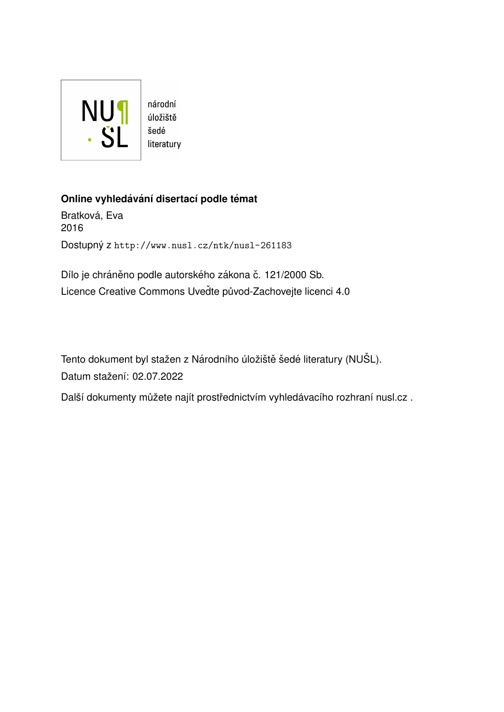

# **Online vyhledávání disertací podle témat**

Bratková, Eva 2016 Dostupný z <http://www.nusl.cz/ntk/nusl-261183>

Dílo je chráněno podle autorského zákona č. 121/2000 Sb. Licence Creative Commons Uvedte původ-Zachovejte licenci 4.0

Tento dokument byl stažen z Národního úložiště šedé literatury (NUŠL). Datum stažení: 02.07.2022

Další dokumenty můžete najít prostřednictvím vyhledávacího rozhraní [nusl.cz](http://www.nusl.cz) .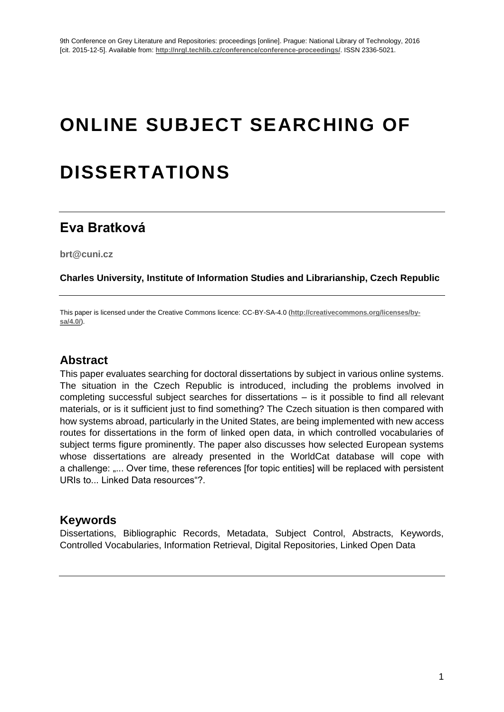# **ONLINE SUBJECT SEARCHING OF**

# **DISSERTATIONS**

# **Eva Bratková**

**brt@cuni.cz**

**Charles University, Institute of Information Studies and Librarianship, Czech Republic**

This paper is licensed under the Creative Commons licence: CC-BY-SA-4.0 (**http://creativecommons.org/licenses/bysa/4.0/**).

## **Abstract**

This paper evaluates searching for doctoral dissertations by subject in various online systems. The situation in the Czech Republic is introduced, including the problems involved in completing successful subject searches for dissertations – is it possible to find all relevant materials, or is it sufficient just to find something? The Czech situation is then compared with how systems abroad, particularly in the United States, are being implemented with new access routes for dissertations in the form of linked open data, in which controlled vocabularies of subject terms figure prominently. The paper also discusses how selected European systems whose dissertations are already presented in the WorldCat database will cope with a challenge: "... Over time, these references [for topic entities] will be replaced with persistent URIs to... Linked Data resources"?.

### **Keywords**

Dissertations, Bibliographic Records, Metadata, Subject Control, Abstracts, Keywords, Controlled Vocabularies, Information Retrieval, Digital Repositories, Linked Open Data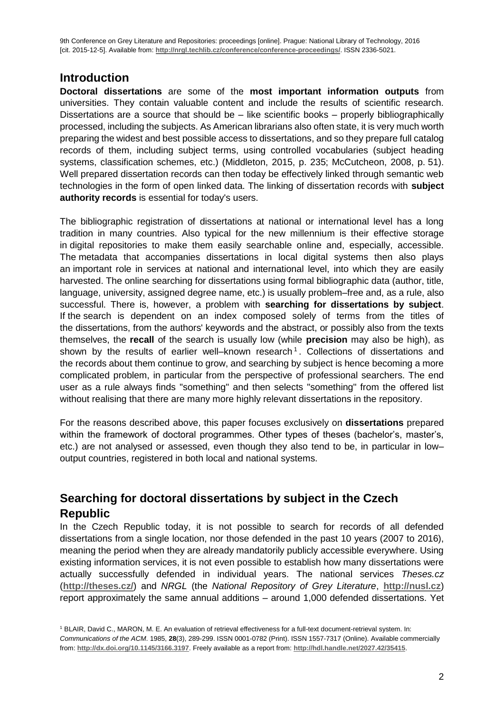# **Introduction**

**Doctoral dissertations** are some of the **most important information outputs** from universities. They contain valuable content and include the results of scientific research. Dissertations are a source that should be  $-$  like scientific books  $-$  properly bibliographically processed, including the subjects. As American librarians also often state, it is very much worth preparing the widest and best possible access to dissertations, and so they prepare full catalog records of them, including subject terms, using controlled vocabularies (subject heading systems, classification schemes, etc.) (Middleton, 2015, p. 235; McCutcheon, 2008, p. 51). Well prepared dissertation records can then today be effectively linked through semantic web technologies in the form of open linked data. The linking of dissertation records with **subject authority records** is essential for today's users.

The bibliographic registration of dissertations at national or international level has a long tradition in many countries. Also typical for the new millennium is their effective storage in digital repositories to make them easily searchable online and, especially, accessible. The metadata that accompanies dissertations in local digital systems then also plays an important role in services at national and international level, into which they are easily harvested. The online searching for dissertations using formal bibliographic data (author, title, language, university, assigned degree name, etc.) is usually problem–free and, as a rule, also successful. There is, however, a problem with **searching for dissertations by subject**. If the search is dependent on an index composed solely of terms from the titles of the dissertations, from the authors' keywords and the abstract, or possibly also from the texts themselves, the **recall** of the search is usually low (while **precision** may also be high), as shown by the results of earlier well-known research<sup>1</sup>. Collections of dissertations and the records about them continue to grow, and searching by subject is hence becoming a more complicated problem, in particular from the perspective of professional searchers. The end user as a rule always finds "something" and then selects "something" from the offered list without realising that there are many more highly relevant dissertations in the repository.

For the reasons described above, this paper focuses exclusively on **dissertations** prepared within the framework of doctoral programmes. Other types of theses (bachelor's, master's, etc.) are not analysed or assessed, even though they also tend to be, in particular in low– output countries, registered in both local and national systems.

# **Searching for doctoral dissertations by subject in the Czech Republic**

In the Czech Republic today, it is not possible to search for records of all defended dissertations from a single location, nor those defended in the past 10 years (2007 to 2016), meaning the period when they are already mandatorily publicly accessible everywhere. Using existing information services, it is not even possible to establish how many dissertations were actually successfully defended in individual years. The national services *Theses.cz* (**<http://theses.cz/>**) and *NRGL* (the *National Repository of Grey Literature*, **http://nusl.cz**) report approximately the same annual additions – around 1,000 defended dissertations. Yet

<sup>1</sup> BLAIR, David C., MARON, M. E. An evaluation of retrieval effectiveness for a full-text document-retrieval system. In: *Communications of the ACM*. 1985, **28**(3), 289-299. ISSN 0001-0782 (Print). ISSN 1557-7317 (Online). Available commercially from: **<http://dx.doi.org/10.1145/3166.3197>**. Freely available as a report from: **http://hdl.handle.net/2027.42/35415**.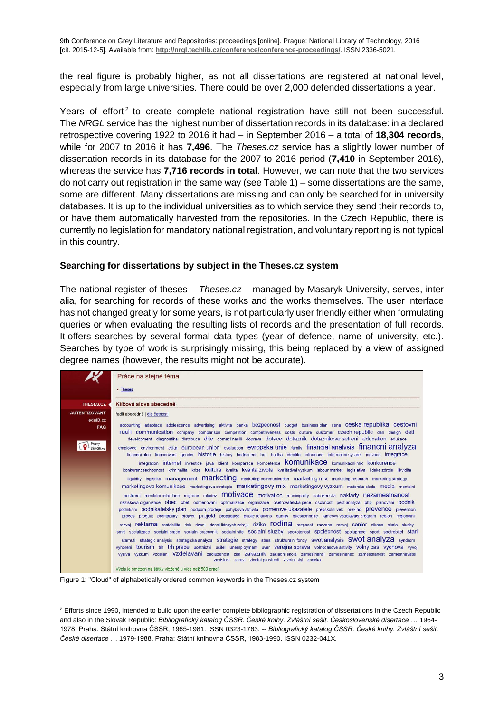the real figure is probably higher, as not all dissertations are registered at national level, especially from large universities. There could be over 2,000 defended dissertations a year.

Years of effort<sup>2</sup> to create complete national registration have still not been successful. The *NRGL* service has the highest number of dissertation records in its database: in a declared retrospective covering 1922 to 2016 it had – in September 2016 – a total of **18,304 records**, while for 2007 to 2016 it has **7,496**. The *Theses.cz* service has a slightly lower number of dissertation records in its database for the 2007 to 2016 period (**7,410** in September 2016), whereas the service has **7,716 records in total**. However, we can note that the two services do not carry out registration in the same way (see Table 1) – some dissertations are the same, some are different. Many dissertations are missing and can only be searched for in university databases. It is up to the individual universities as to which service they send their records to, or have them automatically harvested from the repositories. In the Czech Republic, there is currently no legislation for mandatory national registration, and voluntary reporting is not typical in this country.

#### **Searching for dissertations by subject in the Theses.cz system**

The national register of theses – *Theses.cz* – managed by Masaryk University, serves, inter alia, for searching for records of these works and the works themselves. The user interface has not changed greatly for some years, is not particularly user friendly either when formulating queries or when evaluating the resulting lists of records and the presentation of full records. It offers searches by several formal data types (year of defence, name of university, etc.). Searches by type of work is surprisingly missing, this being replaced by a view of assigned degree names (however, the results might not be accurate).

| Práce na stejné téma                                                                                                                                                                                                                                                                                                                                                                                                                                      |
|-----------------------------------------------------------------------------------------------------------------------------------------------------------------------------------------------------------------------------------------------------------------------------------------------------------------------------------------------------------------------------------------------------------------------------------------------------------|
| - Theses                                                                                                                                                                                                                                                                                                                                                                                                                                                  |
| Klíčová slova abecedně                                                                                                                                                                                                                                                                                                                                                                                                                                    |
| řadit abecedně   dle četnosti                                                                                                                                                                                                                                                                                                                                                                                                                             |
| accounting adaptace adolescence advertising aktivita banka bezpecnost budget business plan cena CeSka republika cestovni<br>ruch communication company comparison competition competitiveness costs culture customer czech republic dan design deti<br>development diagnostika distribuce dite domacinasili doprava dotace dotaznik dotaznikove setreni education edukace                                                                                 |
| employee environment etika european-union evaluation evropska-unie family financial-analysis financhi-analyza<br>financni plan financovani gender historie history hodnoceni hra hudba identita informace informacni system inovace integrace                                                                                                                                                                                                             |
| integration internet investice java klient komparace kompetence komunikace komunikacni mix konkurence<br>konkurenceschopnost kriminalita krize kultura kvalita kvalita zivota kvalitativni vyzkum labour market legislativa lidske zdroje likvidita                                                                                                                                                                                                       |
| liquidity logistika management marketing marketing communication marketing mix marketing research marketing strategy<br>marketingova komunikace marketingova strategie marketingovy mix marketingovy vyzkum materska skola media mentalni                                                                                                                                                                                                                 |
| postizeni mentalni retardace migrace mladez <b>MOUVACE</b> motivation municipality nabozenstvi naklady nezamestnanost<br>neziskova organizace Obec obet odmenovani optimalizace organizace osetrovatelska pece osobnost pestanalyza php planovani podnik                                                                                                                                                                                                  |
| podnikani podnikatelsky plan podpora prodeje pohybova aktivita pomerove ukazatele predskolnivek preklad preventon<br>proces produkt profitability project projekt propagace public relations quality questionnaire ramcovy vzdelavaci-program region regionalni                                                                                                                                                                                           |
| rozvoj reklama rentabilita risk rizeni rizenilidskychzdroju riziko rodina rozpocet rozvaha rozvoj senior sikana skola sluzby<br>smrt socializace socialni-prace socialni-pracovnik socialni-site Socialni-sluzby spokojenost Spolecnost spoluprace sport spotrebitel stari                                                                                                                                                                                |
| starnuti strategic analysis strategicka analyza strategie strategy stres strukturalni fondy swot analysis SWOT analyza syndrom<br>vyhoreni tourism trh trh prace ucetnictvi ucitel unemployment uver verejna sprava volnocasove aktivity volny cas vychova vyvoj<br>vyziva vyzkum vzdelani VZdelaVani zadluzenost zak Zakaznik zakladniskola zamestnanci zamestnanec zamestnanost zamestnavatel<br>zavislost zdravi zivotni prostredi zivotni styl znacka |
| Výpis je omezen na štítky vložené u více než 500 prací.                                                                                                                                                                                                                                                                                                                                                                                                   |

Figure 1: "Cloud" of alphabetically ordered common keywords in the Theses.cz system

<sup>2</sup> Efforts since 1990, intended to build upon the earlier complete bibliographic registration of dissertations in the Czech Republic and also in the Slovak Republic: *Bibliografický katalog ČSSR. České knihy. Zvláštní sešit. Československé disertace …* 1964- 1978. Praha: Státní knihovna ČSSR, 1965-1981. ISSN 0323-1763. -- *Bibliografický katalog ČSSR. České knihy. Zvláštní sešit. České disertace …* 1979-1988. Praha: Státní knihovna ČSSR, 1983-1990. ISSN 0232-041X.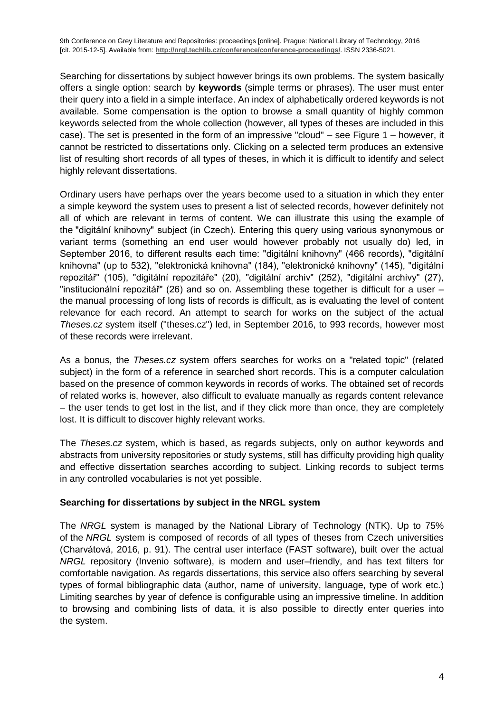Searching for dissertations by subject however brings its own problems. The system basically offers a single option: search by **keywords** (simple terms or phrases). The user must enter their query into a field in a simple interface. An index of alphabetically ordered keywords is not available. Some compensation is the option to browse a small quantity of highly common keywords selected from the whole collection (however, all types of theses are included in this case). The set is presented in the form of an impressive "cloud" – see Figure 1 – however, it cannot be restricted to dissertations only. Clicking on a selected term produces an extensive list of resulting short records of all types of theses, in which it is difficult to identify and select highly relevant dissertations.

Ordinary users have perhaps over the years become used to a situation in which they enter a simple keyword the system uses to present a list of selected records, however definitely not all of which are relevant in terms of content. We can illustrate this using the example of the "digitální knihovny" subject (in Czech). Entering this query using various synonymous or variant terms (something an end user would however probably not usually do) led, in September 2016, to different results each time: "digitální knihovny" (466 records), "digitální knihovna" (up to 532), "elektronická knihovna" (184), "elektronické knihovny" (145), "digitální repozitář" (105), "digitální repozitáře" (20), "digitální archiv" (252), "digitální archivy" (27), "institucionální repozitář" (26) and so on. Assembling these together is difficult for a user – the manual processing of long lists of records is difficult, as is evaluating the level of content relevance for each record. An attempt to search for works on the subject of the actual *Theses.cz* system itself ("theses.cz") led, in September 2016, to 993 records, however most of these records were irrelevant.

As a bonus, the *Theses.cz* system offers searches for works on a "related topic" (related subject) in the form of a reference in searched short records. This is a computer calculation based on the presence of common keywords in records of works. The obtained set of records of related works is, however, also difficult to evaluate manually as regards content relevance – the user tends to get lost in the list, and if they click more than once, they are completely lost. It is difficult to discover highly relevant works.

The *Theses.cz* system, which is based, as regards subjects, only on author keywords and abstracts from university repositories or study systems, still has difficulty providing high quality and effective dissertation searches according to subject. Linking records to subject terms in any controlled vocabularies is not yet possible.

#### **Searching for dissertations by subject in the NRGL system**

The *NRGL* system is managed by the National Library of Technology (NTK). Up to 75% of the *NRGL* system is composed of records of all types of theses from Czech universities (Charvátová, 2016, p. 91). The central user interface (FAST software), built over the actual *NRGL* repository (Invenio software), is modern and user–friendly, and has text filters for comfortable navigation. As regards dissertations, this service also offers searching by several types of formal bibliographic data (author, name of university, language, type of work etc.) Limiting searches by year of defence is configurable using an impressive timeline. In addition to browsing and combining lists of data, it is also possible to directly enter queries into the system.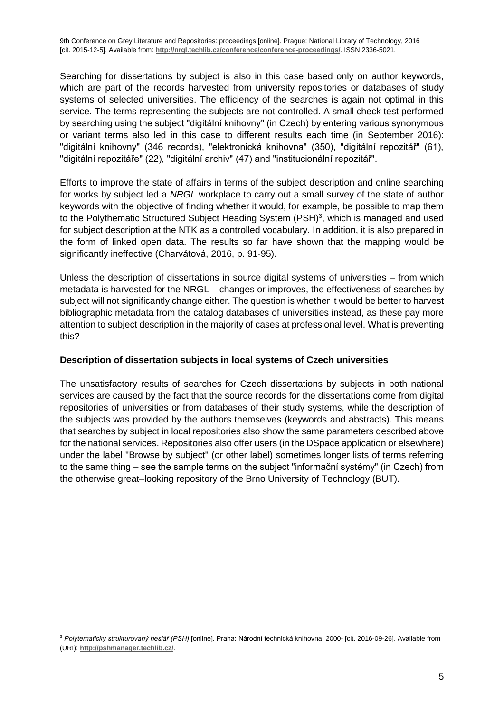Searching for dissertations by subject is also in this case based only on author keywords, which are part of the records harvested from university repositories or databases of study systems of selected universities. The efficiency of the searches is again not optimal in this service. The terms representing the subjects are not controlled. A small check test performed by searching using the subject "digitální knihovny" (in Czech) by entering various synonymous or variant terms also led in this case to different results each time (in September 2016): "digitální knihovny" (346 records), "elektronická knihovna" (350), "digitální repozitář" (61), "digitální repozitáře" (22), "digitální archiv" (47) and "institucionální repozitář".

Efforts to improve the state of affairs in terms of the subject description and online searching for works by subject led a *NRGL* workplace to carry out a small survey of the state of author keywords with the objective of finding whether it would, for example, be possible to map them to the Polythematic Structured Subject Heading System (PSH)<sup>3</sup>, which is managed and used for subject description at the NTK as a controlled vocabulary. In addition, it is also prepared in the form of linked open data. The results so far have shown that the mapping would be significantly ineffective (Charvátová, 2016, p. 91-95).

Unless the description of dissertations in source digital systems of universities – from which metadata is harvested for the NRGL – changes or improves, the effectiveness of searches by subject will not significantly change either. The question is whether it would be better to harvest bibliographic metadata from the catalog databases of universities instead, as these pay more attention to subject description in the majority of cases at professional level. What is preventing this?

#### **Description of dissertation subjects in local systems of Czech universities**

The unsatisfactory results of searches for Czech dissertations by subjects in both national services are caused by the fact that the source records for the dissertations come from digital repositories of universities or from databases of their study systems, while the description of the subjects was provided by the authors themselves (keywords and abstracts). This means that searches by subject in local repositories also show the same parameters described above for the national services. Repositories also offer users (in the DSpace application or elsewhere) under the label "Browse by subject" (or other label) sometimes longer lists of terms referring to the same thing – see the sample terms on the subject "informační systémy" (in Czech) from the otherwise great–looking repository of the Brno University of Technology (BUT).

<sup>3</sup> *Polytematický strukturovaný heslář (PSH)* [online]. Praha: Národní technická knihovna, 2000- [cit. 2016-09-26]. Available from (URI): **<http://pshmanager.techlib.cz/>**.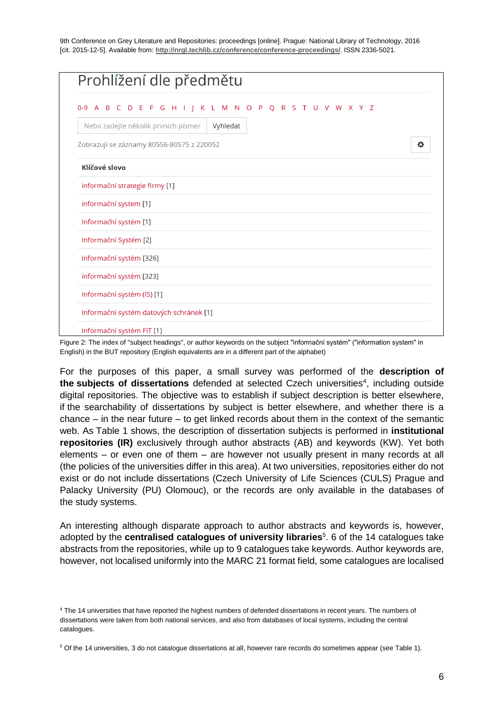| Prohlížení dle předmětu                                 |   |
|---------------------------------------------------------|---|
| 0-9 A B C D E F G H I J K L M N O P Q R S T U V W X Y Z |   |
| Nebo zadejte několik prvních písmer<br>Vyhledat         |   |
| Zobrazují se záznamy 80556-80575 z 220052               | ۰ |
| Klíčové slovo                                           |   |
| informační strategie firmy [1]                          |   |
| informační system [1]                                   |   |
| Informační systém [1]                                   |   |
| Informační Systém [2]                                   |   |
| Informační systém [326]                                 |   |
| informační systém [323]                                 |   |
| Informační systém (IS) [1]                              |   |
| Informační systém datových schránek [1]                 |   |
| Informační systém FIT [1]                               |   |

Figure 2: The index of "subject headings", or author keywords on the subject "informační systém" ("information system" in English) in the BUT repository (English equivalents are in a different part of the alphabet)

For the purposes of this paper, a small survey was performed of the **description of**  the subjects of dissertations defended at selected Czech universities<sup>4</sup>, including outside digital repositories. The objective was to establish if subject description is better elsewhere, if the searchability of dissertations by subject is better elsewhere, and whether there is a chance – in the near future – to get linked records about them in the context of the semantic web. As Table 1 shows, the description of dissertation subjects is performed in **institutional repositories (IR)** exclusively through author abstracts (AB) and keywords (KW). Yet both elements – or even one of them – are however not usually present in many records at all (the policies of the universities differ in this area). At two universities, repositories either do not exist or do not include dissertations (Czech University of Life Sciences (CULS) Prague and Palacky University (PU) Olomouc), or the records are only available in the databases of the study systems.

An interesting although disparate approach to author abstracts and keywords is, however, adopted by the **centralised catalogues of university libraries**<sup>5</sup>. 6 of the 14 catalogues take abstracts from the repositories, while up to 9 catalogues take keywords. Author keywords are, however, not localised uniformly into the MARC 21 format field, some catalogues are localised

<sup>&</sup>lt;sup>4</sup> The 14 universities that have reported the highest numbers of defended dissertations in recent years. The numbers of dissertations were taken from both national services, and also from databases of local systems, including the central catalogues.

<sup>5</sup> Of the 14 universities, 3 do not catalogue dissertations at all, however rare records do sometimes appear (see Table 1).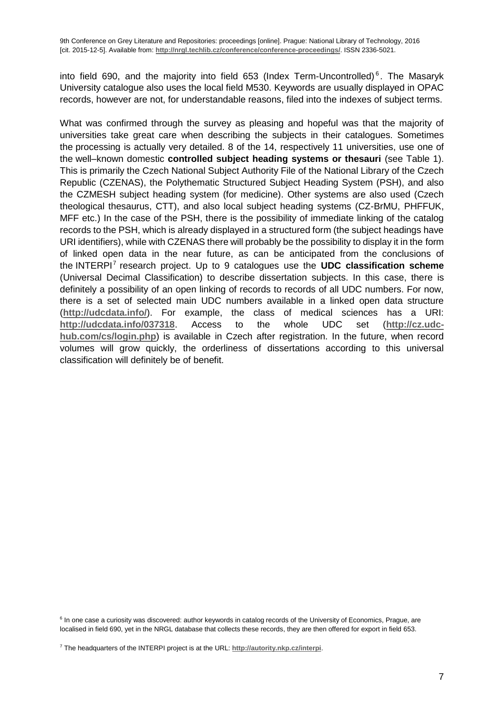into field 690, and the majority into field 653 (Index Term-Uncontrolled)<sup>6</sup>. The Masaryk University catalogue also uses the local field M530. Keywords are usually displayed in OPAC records, however are not, for understandable reasons, filed into the indexes of subject terms.

What was confirmed through the survey as pleasing and hopeful was that the majority of universities take great care when describing the subjects in their catalogues. Sometimes the processing is actually very detailed. 8 of the 14, respectively 11 universities, use one of the well–known domestic **controlled subject heading systems or thesauri** (see Table 1). This is primarily the Czech National Subject Authority File of the National Library of the Czech Republic (CZENAS), the Polythematic Structured Subject Heading System (PSH), and also the CZMESH subject heading system (for medicine). Other systems are also used (Czech theological thesaurus, CTT), and also local subject heading systems (CZ-BrMU, PHFFUK, MFF etc.) In the case of the PSH, there is the possibility of immediate linking of the catalog records to the PSH, which is already displayed in a structured form (the subject headings have URI identifiers), while with CZENAS there will probably be the possibility to display it in the form of linked open data in the near future, as can be anticipated from the conclusions of the INTERPI<sup>7</sup> research project. Up to 9 catalogues use the **UDC classification scheme** (Universal Decimal Classification) to describe dissertation subjects. In this case, there is definitely a possibility of an open linking of records to records of all UDC numbers. For now, there is a set of selected main UDC numbers available in a linked open data structure (**<http://udcdata.info/>**). For example, the class of medical sciences has a URI: **<http://udcdata.info/037318>**. Access to the whole UDC set (**[http://cz.udc](http://cz.udc-hub.com/cs/login.php)[hub.com/cs/login.php](http://cz.udc-hub.com/cs/login.php)**) is available in Czech after registration. In the future, when record volumes will grow quickly, the orderliness of dissertations according to this universal classification will definitely be of benefit.

<sup>&</sup>lt;sup>6</sup> In one case a curiosity was discovered: author keywords in catalog records of the University of Economics, Prague, are localised in field 690, yet in the NRGL database that collects these records, they are then offered for export in field 653.

<sup>7</sup> The headquarters of the INTERPI project is at the URL: **<http://autority.nkp.cz/interpi>**.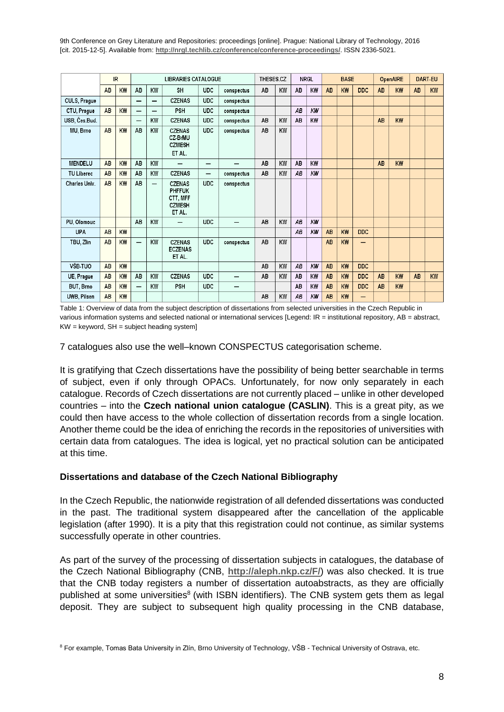|                    | IR        |    | <b>LIBRARIES CATALOGUE</b> |                          |                                                                       |            | THESES.CZ  |    |    | <b>NRGL</b> |    | <b>BASE</b> |    | <b>OpenAIRE</b> |           | <b>DART-EU</b> |           |    |
|--------------------|-----------|----|----------------------------|--------------------------|-----------------------------------------------------------------------|------------|------------|----|----|-------------|----|-------------|----|-----------------|-----------|----------------|-----------|----|
|                    | <b>AB</b> | KW | AB                         | KW                       | SH                                                                    | <b>UDC</b> | conspectus | AB | KW | AB          | KW | AB          | KW | <b>DDC</b>      | AB        | <b>KW</b>      | AB.       | KW |
| CULS, Prague       |           |    | $\overline{\phantom{0}}$   | $\overline{\phantom{0}}$ | <b>CZENAS</b>                                                         | <b>UDC</b> | conspectus |    |    |             |    |             |    |                 |           |                |           |    |
| CTU, Prague        | <b>AB</b> | KW | —                          |                          | PSH                                                                   | <b>UDC</b> | conspectus |    |    | AB          | KW |             |    |                 |           |                |           |    |
| USB, Čes.Bud.      |           |    | $\overline{\phantom{0}}$   | KW                       | <b>CZENAS</b>                                                         | <b>UDC</b> | conspectus | AB | KW | AB          | KW |             |    |                 | <b>AB</b> | KW             |           |    |
| MU, Brno           | <b>AB</b> | KW | AB                         | KW                       | <b>CZENAS</b><br>CZ-BrMU<br><b>CZMESH</b><br>ET AL.                   | <b>UDC</b> | conspectus | AB | KW |             |    |             |    |                 |           |                |           |    |
| <b>MENDELU</b>     | AB.       | KW | AB                         | KW                       | —                                                                     | –          |            | AB | KW | AB          | KW |             |    |                 | <b>AB</b> | KW             |           |    |
| <b>TU Liberec</b>  | <b>AB</b> | KW | AB                         | KW                       | <b>CZENAS</b>                                                         | —          | conspectus | AB | KW | AB          | KW |             |    |                 |           |                |           |    |
| Charles Univ.      | AB.       | KW | AB                         | —                        | <b>CZENAS</b><br><b>PHFFUK</b><br>CTT, MFF<br><b>CZMESH</b><br>ET AL. | <b>UDC</b> | conspectus |    |    |             |    |             |    |                 |           |                |           |    |
| PU, Olomouc        |           |    | AB                         | KW                       | —                                                                     | <b>UDC</b> | –          | AB | KW | AB          | KW |             |    |                 |           |                |           |    |
| <b>UPA</b>         | <b>AB</b> | KW |                            |                          |                                                                       |            |            |    |    | AB          | KW | <b>AB</b>   | KW | <b>DDC</b>      |           |                |           |    |
| TBU, Zlin          | <b>AB</b> | KW | ÷.                         | KW                       | <b>CZENAS</b><br><b>ECZENAS</b><br>ET AL.                             | <b>UDC</b> | conspectus | AB | KW |             |    | AB          | KW |                 |           |                |           |    |
| VŠB-TUO            | <b>AB</b> | KW |                            |                          |                                                                       |            |            | AB | KW | AB          | KW | AB          | KW | <b>DDC</b>      |           |                |           |    |
| UE, Praque         | <b>AB</b> | KW | AB                         | KW                       | <b>CZENAS</b>                                                         | <b>UDC</b> |            | AB | KW | AB          | KW | AB          | KW | <b>DDC</b>      | AB        | KW             | <b>AB</b> | KW |
| <b>BUT, Brno</b>   | <b>AB</b> | KW | —                          | KW                       | PSH                                                                   | <b>UDC</b> | –          |    |    | AB          | KW | AB          | KW | <b>DDC</b>      | AB        | <b>KW</b>      |           |    |
| <b>UWB. Pilsen</b> | <b>AB</b> | KW |                            |                          |                                                                       |            |            | AB | KW | AB          | KW | AB          | KW | -               |           |                |           |    |

Table 1: Overview of data from the subject description of dissertations from selected universities in the Czech Republic in various information systems and selected national or international services [Legend: IR = institutional repository, AB = abstract,  $KW = \text{keyword}, \text{SH} = \text{subject heading system}$ 

7 catalogues also use the well–known CONSPECTUS categorisation scheme.

It is gratifying that Czech dissertations have the possibility of being better searchable in terms of subject, even if only through OPACs. Unfortunately, for now only separately in each catalogue. Records of Czech dissertations are not currently placed – unlike in other developed countries – into the **Czech national union catalogue (CASLIN)**. This is a great pity, as we could then have access to the whole collection of dissertation records from a single location. Another theme could be the idea of enriching the records in the repositories of universities with certain data from catalogues. The idea is logical, yet no practical solution can be anticipated at this time.

#### **Dissertations and database of the Czech National Bibliography**

In the Czech Republic, the nationwide registration of all defended dissertations was conducted in the past. The traditional system disappeared after the cancellation of the applicable legislation (after 1990). It is a pity that this registration could not continue, as similar systems successfully operate in other countries.

As part of the survey of the processing of dissertation subjects in catalogues, the database of the Czech National Bibliography (CNB, **http://aleph.nkp.cz/F/**) was also checked. It is true that the CNB today registers a number of dissertation autoabstracts, as they are officially published at some universities<sup>8</sup> (with ISBN identifiers). The CNB system gets them as legal deposit. They are subject to subsequent high quality processing in the CNB database,

<sup>&</sup>lt;sup>8</sup> For example, Tomas Bata University in Zlín, Brno University of Technology, VŠB - Technical University of Ostrava, etc.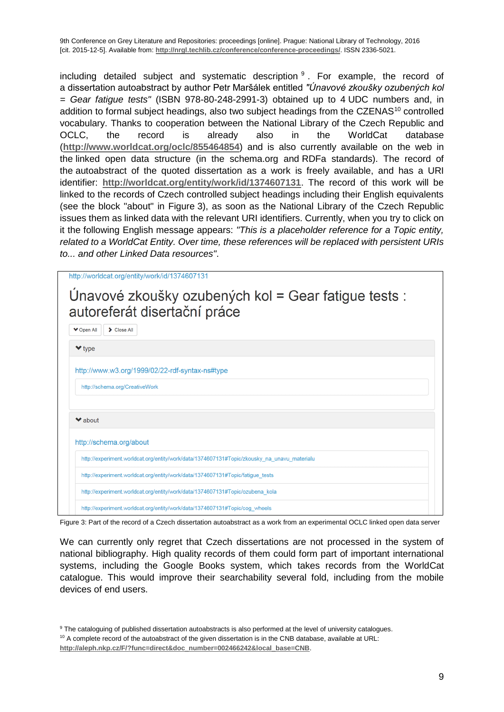including detailed subject and systematic description  $9$ . For example, the record of a dissertation autoabstract by author Petr Maršálek entitled *"Únavové zkoušky ozubených kol = Gear fatigue tests"* (ISBN 978-80-248-2991-3) obtained up to 4 UDC numbers and, in addition to formal subject headings, also two subject headings from the CZENAS<sup>10</sup> controlled vocabulary. Thanks to cooperation between the National Library of the Czech Republic and OCLC, the record is already also in the WorldCat database (**http://www.worldcat.org/oclc/855464854**) and is also currently available on the web in the linked open data structure (in the schema.org and RDFa standards). The record of the autoabstract of the quoted dissertation as a work is freely available, and has a URI identifier: **http://worldcat.org/entity/work/id/1374607131**. The record of this work will be linked to the records of Czech controlled subject headings including their English equivalents (see the block "about" in Figure 3), as soon as the National Library of the Czech Republic issues them as linked data with the relevant URI identifiers. Currently, when you try to click on it the following English message appears: *"This is a placeholder reference for a Topic entity, related to a WorldCat Entity. Over time, these references will be replaced with persistent URIs to... and other Linked Data resources"*.

|                             | http://worldcat.org/entity/work/id/1374607131                                               |
|-----------------------------|---------------------------------------------------------------------------------------------|
|                             | Únavové zkoušky ozubených kol = Gear fatigue tests :<br>autoreferát disertační práce        |
| <b>V</b> Open All           | > Close All                                                                                 |
| $\blacktriangleright$ type  |                                                                                             |
|                             | http://www.w3.org/1999/02/22-rdf-syntax-ns#type                                             |
|                             | http://schema.org/CreativeWork                                                              |
|                             |                                                                                             |
| $\blacktriangleright$ about |                                                                                             |
|                             | http://schema.org/about                                                                     |
|                             | http://experiment.worldcat.org/entity/work/data/1374607131#Topic/zkousky na unavu materialu |
|                             | http://experiment.worldcat.org/entity/work/data/1374607131#Topic/fatique_tests              |
|                             | http://experiment.worldcat.org/entity/work/data/1374607131#Topic/ozubena kola               |
|                             | http://experiment.worldcat.org/entity/work/data/1374607131#Topic/cog_wheels                 |

Figure 3: Part of the record of a Czech dissertation autoabstract as a work from an experimental OCLC linked open data server

We can currently only regret that Czech dissertations are not processed in the system of national bibliography. High quality records of them could form part of important international systems, including the Google Books system, which takes records from the WorldCat catalogue. This would improve their searchability several fold, including from the mobile devices of end users.

<sup>&</sup>lt;sup>9</sup> The cataloguing of published dissertation autoabstracts is also performed at the level of university catalogues.

 $10$  A complete record of the autoabstract of the given dissertation is in the CNB database, available at URL:

**http://aleph.nkp.cz/F/?func=direct&doc\_number=002466242&local\_base=CNB**.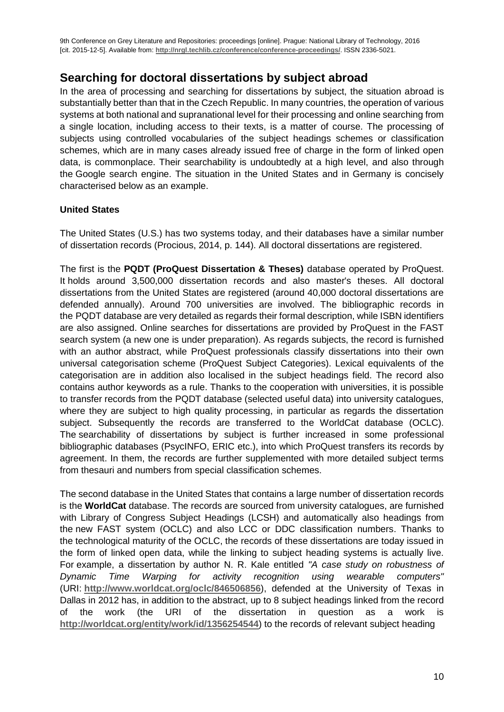# **Searching for doctoral dissertations by subject abroad**

In the area of processing and searching for dissertations by subject, the situation abroad is substantially better than that in the Czech Republic. In many countries, the operation of various systems at both national and supranational level for their processing and online searching from a single location, including access to their texts, is a matter of course. The processing of subjects using controlled vocabularies of the subject headings schemes or classification schemes, which are in many cases already issued free of charge in the form of linked open data, is commonplace. Their searchability is undoubtedly at a high level, and also through the Google search engine. The situation in the United States and in Germany is concisely characterised below as an example.

#### **United States**

The United States (U.S.) has two systems today, and their databases have a similar number of dissertation records (Procious, 2014, p. 144). All doctoral dissertations are registered.

The first is the **PQDT (ProQuest Dissertation & Theses)** database operated by ProQuest. It holds around 3,500,000 dissertation records and also master's theses. All doctoral dissertations from the United States are registered (around 40,000 doctoral dissertations are defended annually). Around 700 universities are involved. The bibliographic records in the PQDT database are very detailed as regards their formal description, while ISBN identifiers are also assigned. Online searches for dissertations are provided by ProQuest in the FAST search system (a new one is under preparation). As regards subjects, the record is furnished with an author abstract, while ProQuest professionals classify dissertations into their own universal categorisation scheme (ProQuest Subject Categories). Lexical equivalents of the categorisation are in addition also localised in the subject headings field. The record also contains author keywords as a rule. Thanks to the cooperation with universities, it is possible to transfer records from the PQDT database (selected useful data) into university catalogues, where they are subject to high quality processing, in particular as regards the dissertation subject. Subsequently the records are transferred to the WorldCat database (OCLC). The searchability of dissertations by subject is further increased in some professional bibliographic databases (PsycINFO, ERIC etc.), into which ProQuest transfers its records by agreement. In them, the records are further supplemented with more detailed subject terms from thesauri and numbers from special classification schemes.

The second database in the United States that contains a large number of dissertation records is the **WorldCat** database. The records are sourced from university catalogues, are furnished with Library of Congress Subject Headings (LCSH) and automatically also headings from the new FAST system (OCLC) and also LCC or DDC classification numbers. Thanks to the technological maturity of the OCLC, the records of these dissertations are today issued in the form of linked open data, while the linking to subject heading systems is actually live. For example, a dissertation by author N. R. Kale entitled *"A case study on robustness of Dynamic Time Warping for activity recognition using wearable computers"* (URI: **http://www.worldcat.org/oclc/846506856**), defended at the University of Texas in Dallas in 2012 has, in addition to the abstract, up to 8 subject headings linked from the record of the work (the URI of the dissertation in question as a work is **<http://worldcat.org/entity/work/id/1356254544>**) to the records of relevant subject heading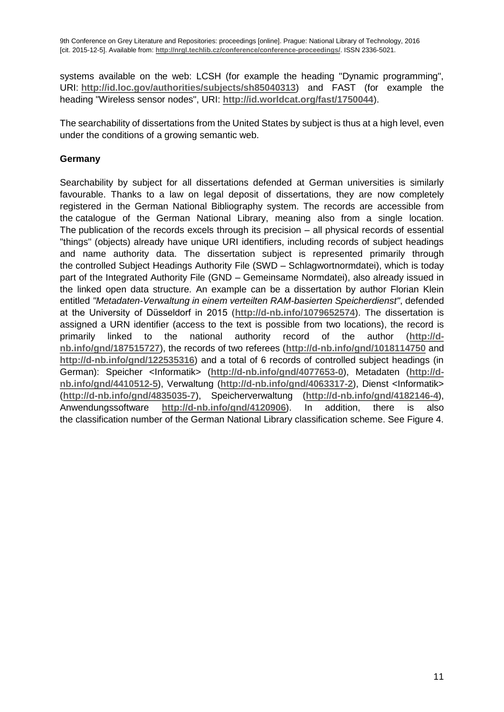systems available on the web: LCSH (for example the heading "Dynamic programming", URI: **<http://id.loc.gov/authorities/subjects/sh85040313>**) and FAST (for example the heading "Wireless sensor nodes", URI: **<http://id.worldcat.org/fast/1750044>**).

The searchability of dissertations from the United States by subject is thus at a high level, even under the conditions of a growing semantic web.

#### **Germany**

Searchability by subject for all dissertations defended at German universities is similarly favourable. Thanks to a law on legal deposit of dissertations, they are now completely registered in the German National Bibliography system. The records are accessible from the catalogue of the German National Library, meaning also from a single location. The publication of the records excels through its precision – all physical records of essential "things" (objects) already have unique URI identifiers, including records of subject headings and name authority data. The dissertation subject is represented primarily through the controlled Subject Headings Authority File (SWD – Schlagwortnormdatei), which is today part of the Integrated Authority File (GND – Gemeinsame Normdatei), also already issued in the linked open data structure. An example can be a dissertation by author Florian Klein entitled *"Metadaten-Verwaltung in einem verteilten RAM-basierten Speicherdienst"*, defended at the University of Düsseldorf in 2015 (**<http://d-nb.info/1079652574>**). The dissertation is assigned a URN identifier (access to the text is possible from two locations), the record is primarily linked to the national authority record of the author (**[http://d](http://d-nb.info/gnd/187515727)[nb.info/gnd/187515727](http://d-nb.info/gnd/187515727)**), the records of two referees (**<http://d-nb.info/gnd/1018114750>** and **<http://d-nb.info/gnd/122535316>**) and a total of 6 records of controlled subject headings (in German): Speicher <Informatik> (<http://d-nb.info/gnd/4077653-0>), Metadaten ([http://d](http://d-nb.info/gnd/4410512-5)**[nb.info/gnd/4410512-5](http://d-nb.info/gnd/4410512-5)**), Verwaltung (**<http://d-nb.info/gnd/4063317-2>**), Dienst <Informatik> (**<http://d-nb.info/gnd/4835035-7>**), Speicherverwaltung (**<http://d-nb.info/gnd/4182146-4>**), Anwendungssoftware **<http://d-nb.info/gnd/4120906>**). In addition, there is also the classification number of the German National Library classification scheme. See Figure 4.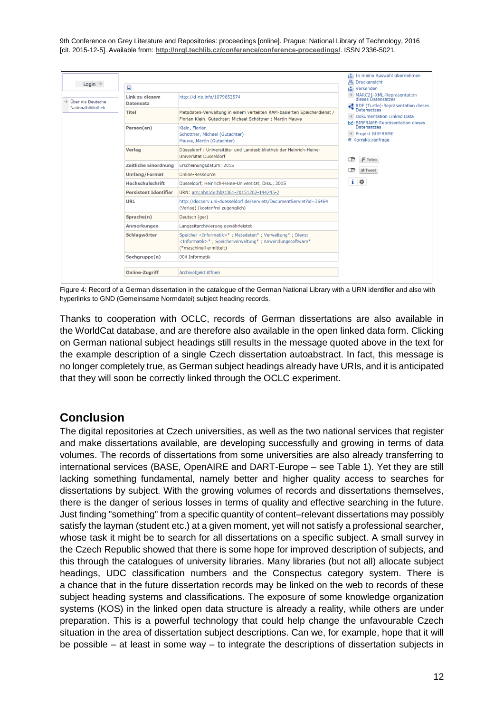

Figure 4: Record of a German dissertation in the catalogue of the German National Library with a URN identifier and also with hyperlinks to GND (Gemeinsame Normdatei) subject heading records*.*

Thanks to cooperation with OCLC, records of German dissertations are also available in the WorldCat database, and are therefore also available in the open linked data form. Clicking on German national subject headings still results in the message quoted above in the text for the example description of a single Czech dissertation autoabstract. In fact, this message is no longer completely true, as German subject headings already have URIs, and it is anticipated that they will soon be correctly linked through the OCLC experiment.

# **Conclusion**

The digital repositories at Czech universities, as well as the two national services that register and make dissertations available, are developing successfully and growing in terms of data volumes. The records of dissertations from some universities are also already transferring to international services (BASE, OpenAIRE and DART-Europe – see Table 1). Yet they are still lacking something fundamental, namely better and higher quality access to searches for dissertations by subject. With the growing volumes of records and dissertations themselves, there is the danger of serious losses in terms of quality and effective searching in the future. Just finding "something" from a specific quantity of content–relevant dissertations may possibly satisfy the layman (student etc.) at a given moment, yet will not satisfy a professional searcher, whose task it might be to search for all dissertations on a specific subject. A small survey in the Czech Republic showed that there is some hope for improved description of subjects, and this through the catalogues of university libraries. Many libraries (but not all) allocate subject headings, UDC classification numbers and the Conspectus category system. There is a chance that in the future dissertation records may be linked on the web to records of these subject heading systems and classifications. The exposure of some knowledge organization systems (KOS) in the linked open data structure is already a reality, while others are under preparation. This is a powerful technology that could help change the unfavourable Czech situation in the area of dissertation subject descriptions. Can we, for example, hope that it will be possible – at least in some way – to integrate the descriptions of dissertation subjects in